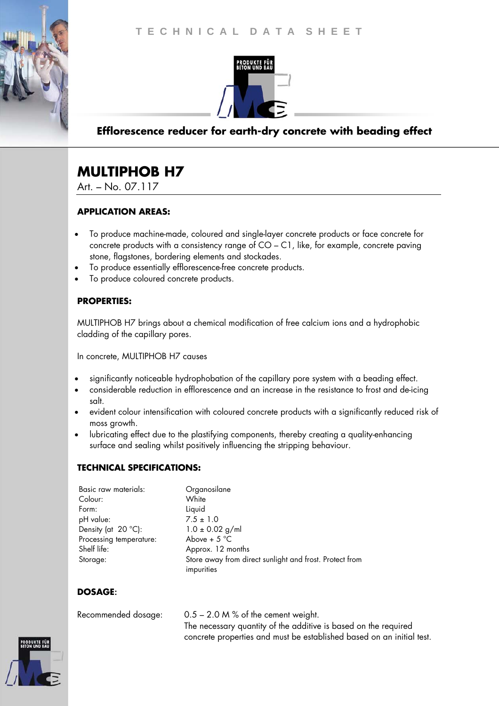



## **Efflorescence reducer for earth-dry concrete with beading effect**

# **MULTIPHOB H7**

Art. – No. 07.117

#### **APPLICATION AREAS:**

- To produce machine-made, coloured and single-layer concrete products or face concrete for concrete products with a consistency range of CO – C1, like, for example, concrete paving stone, flagstones, bordering elements and stockades.
- To produce essentially efflorescence-free concrete products.
- To produce coloured concrete products.

#### **PROPERTIES:**

MULTIPHOB H7 brings about a chemical modification of free calcium ions and a hydrophobic cladding of the capillary pores.

In concrete, MULTIPHOB H7 causes

- significantly noticeable hydrophobation of the capillary pore system with a beading effect.
- considerable reduction in efflorescence and an increase in the resistance to frost and de-icing salt.
- evident colour intensification with coloured concrete products with a significantly reduced risk of moss growth.
- lubricating effect due to the plastifying components, thereby creating a quality-enhancing surface and sealing whilst positively influencing the stripping behaviour.

#### **TECHNICAL SPECIFICATIONS:**

| Basic raw materials:<br>Colour: | Organosilane<br>White                                   |
|---------------------------------|---------------------------------------------------------|
|                                 |                                                         |
| Form:                           | Liquid                                                  |
| pH value:                       | $7.5 \pm 1.0$                                           |
| Density (at 20 °C):             | $1.0 \pm 0.02$ g/ml                                     |
| Processing temperature:         | Above + $5^{\circ}$ C                                   |
| Shelf life:                     | Approx. 12 months                                       |
| Storage:                        | Store away from direct sunlight and frost. Protect from |
|                                 | impurities                                              |

#### **DOSAGE**:

| Recommended dosage: | $0.5 - 2.0$ M % of the cement weight.                                 |
|---------------------|-----------------------------------------------------------------------|
|                     | The necessary quantity of the additive is based on the required       |
|                     | concrete properties and must be established based on an initial test. |